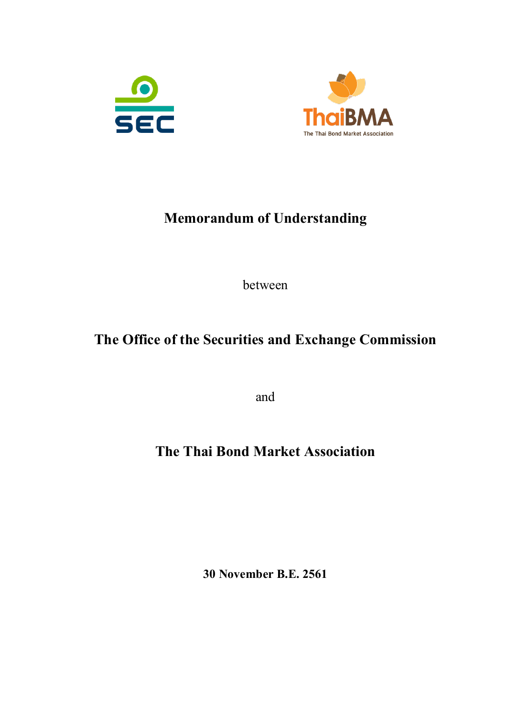



# **Memorandum of Understanding**

between

# **The Office of the Securities and Exchange Commission**

and

# **The Thai Bond Market Association**

**30 November B.E. 2561**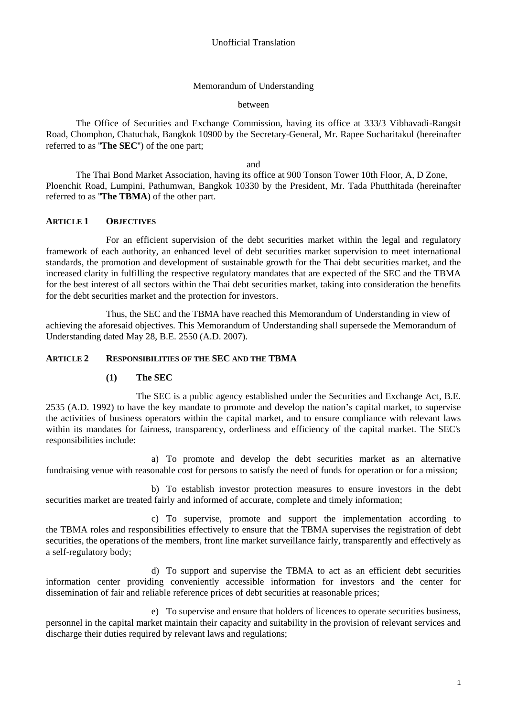### Memorandum of Understanding

#### between

The Office of Securities and Exchange Commission, having its office at 333/3 Vibhavadi-Rangsit Road, Chomphon, Chatuchak, Bangkok 10900 by the Secretary-General, Mr. Rapee Sucharitakul (hereinafter referred to as ''**The SEC**'') of the one part;

#### and

The Thai Bond Market Association, having its office at 900 Tonson Tower 10th Floor, A, D Zone, Ploenchit Road, Lumpini, Pathumwan, Bangkok 10330 by the President, Mr. Tada Phutthitada (hereinafter referred to as ''**The TBMA**) of the other part.

#### **ARTICLE 1 OBJECTIVES**

For an efficient supervision of the debt securities market within the legal and regulatory framework of each authority, an enhanced level of debt securities market supervision to meet international standards, the promotion and development of sustainable growth for the Thai debt securities market, and the increased clarity in fulfilling the respective regulatory mandates that are expected of the SEC and the TBMA for the best interest of all sectors within the Thai debt securities market, taking into consideration the benefits for the debt securities market and the protection for investors.

Thus, the SEC and the TBMA have reached this Memorandum of Understanding in view of achieving the aforesaid objectives. This Memorandum of Understanding shall supersede the Memorandum of Understanding dated May 28, B.E. 2550 (A.D. 2007).

#### **ARTICLE 2 RESPONSIBILITIES OF THE SEC AND THE TBMA**

#### **(1) The SEC**

The SEC is a public agency established under the Securities and Exchange Act, B.E. 2535 (A.D. 1992) to have the key mandate to promote and develop the nation's capital market, to supervise the activities of business operators within the capital market, and to ensure compliance with relevant laws within its mandates for fairness, transparency, orderliness and efficiency of the capital market. The SEC's responsibilities include:

a) To promote and develop the debt securities market as an alternative fundraising venue with reasonable cost for persons to satisfy the need of funds for operation or for a mission;

b) To establish investor protection measures to ensure investors in the debt securities market are treated fairly and informed of accurate, complete and timely information;

c) To supervise, promote and support the implementation according to the TBMA roles and responsibilities effectively to ensure that the TBMA supervises the registration of debt securities, the operations of the members, front line market surveillance fairly, transparently and effectively as a self-regulatory body;

d) To support and supervise the TBMA to act as an efficient debt securities information center providing conveniently accessible information for investors and the center for dissemination of fair and reliable reference prices of debt securities at reasonable prices;

e) To supervise and ensure that holders of licences to operate securities business, personnel in the capital market maintain their capacity and suitability in the provision of relevant services and discharge their duties required by relevant laws and regulations;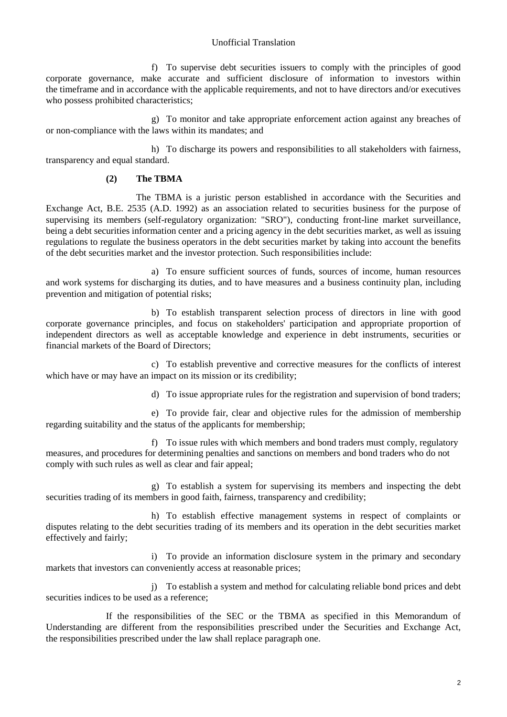#### Unofficial Translation

f) To supervise debt securities issuers to comply with the principles of good corporate governance, make accurate and sufficient disclosure of information to investors within the timeframe and in accordance with the applicable requirements, and not to have directors and/or executives who possess prohibited characteristics:

g) To monitor and take appropriate enforcement action against any breaches of or non-compliance with the laws within its mandates; and

h) To discharge its powers and responsibilities to all stakeholders with fairness, transparency and equal standard.

#### **(2) The TBMA**

The TBMA is a juristic person established in accordance with the Securities and Exchange Act, B.E. 2535 (A.D. 1992) as an association related to securities business for the purpose of supervising its members (self-regulatory organization: "SRO"), conducting front-line market surveillance, being a debt securities information center and a pricing agency in the debt securities market, as well as issuing regulations to regulate the business operators in the debt securities market by taking into account the benefits of the debt securities market and the investor protection. Such responsibilities include:

a) To ensure sufficient sources of funds, sources of income, human resources and work systems for discharging its duties, and to have measures and a business continuity plan, including prevention and mitigation of potential risks;

b) To establish transparent selection process of directors in line with good corporate governance principles, and focus on stakeholders' participation and appropriate proportion of independent directors as well as acceptable knowledge and experience in debt instruments, securities or financial markets of the Board of Directors;

c) To establish preventive and corrective measures for the conflicts of interest which have or may have an impact on its mission or its credibility;

d) To issue appropriate rules for the registration and supervision of bond traders;

e) To provide fair, clear and objective rules for the admission of membership regarding suitability and the status of the applicants for membership;

f) To issue rules with which members and bond traders must comply, regulatory measures, and procedures for determining penalties and sanctions on members and bond traders who do not comply with such rules as well as clear and fair appeal;

g) To establish a system for supervising its members and inspecting the debt securities trading of its members in good faith, fairness, transparency and credibility;

h) To establish effective management systems in respect of complaints or disputes relating to the debt securities trading of its members and its operation in the debt securities market effectively and fairly;

i) To provide an information disclosure system in the primary and secondary markets that investors can conveniently access at reasonable prices;

j) To establish a system and method for calculating reliable bond prices and debt securities indices to be used as a reference;

If the responsibilities of the SEC or the TBMA as specified in this Memorandum of Understanding are different from the responsibilities prescribed under the Securities and Exchange Act, the responsibilities prescribed under the law shall replace paragraph one.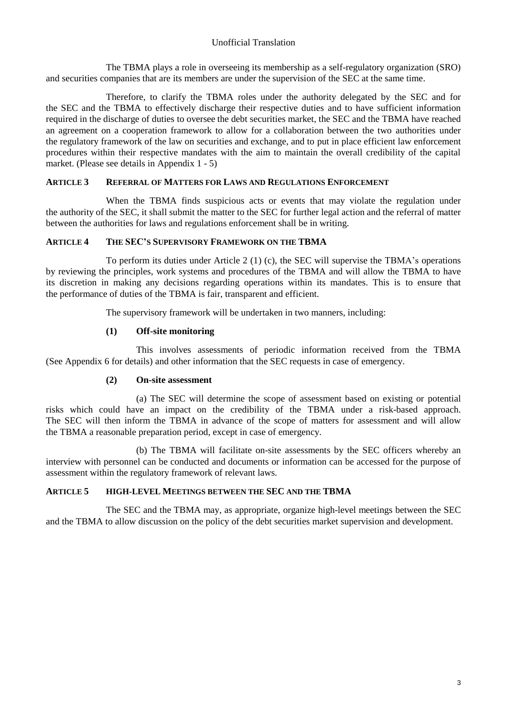# Unofficial Translation

The TBMA plays a role in overseeing its membership as a self-regulatory organization (SRO) and securities companies that are its members are under the supervision of the SEC at the same time.

Therefore, to clarify the TBMA roles under the authority delegated by the SEC and for the SEC and the TBMA to effectively discharge their respective duties and to have sufficient information required in the discharge of duties to oversee the debt securities market, the SEC and the TBMA have reached an agreement on a cooperation framework to allow for a collaboration between the two authorities under the regulatory framework of the law on securities and exchange, and to put in place efficient law enforcement procedures within their respective mandates with the aim to maintain the overall credibility of the capital market. (Please see details in Appendix 1 - 5)

### **ARTICLE 3 REFERRAL OF MATTERS FOR LAWS AND REGULATIONS ENFORCEMENT**

When the TBMA finds suspicious acts or events that may violate the regulation under the authority of the SEC, it shall submit the matter to the SEC for further legal action and the referral of matter between the authorities for laws and regulations enforcement shall be in writing.

## **ARTICLE 4 THE SEC'S SUPERVISORY FRAMEWORK ON THE TBMA**

To perform its duties under Article 2 (1) (c), the SEC will supervise the TBMA's operations by reviewing the principles, work systems and procedures of the TBMA and will allow the TBMA to have its discretion in making any decisions regarding operations within its mandates. This is to ensure that the performance of duties of the TBMA is fair, transparent and efficient.

The supervisory framework will be undertaken in two manners, including:

## **(1) Off-site monitoring**

This involves assessments of periodic information received from the TBMA (See Appendix 6 for details) and other information that the SEC requests in case of emergency.

#### **(2) On-site assessment**

(a) The SEC will determine the scope of assessment based on existing or potential risks which could have an impact on the credibility of the TBMA under a risk-based approach. The SEC will then inform the TBMA in advance of the scope of matters for assessment and will allow the TBMA a reasonable preparation period, except in case of emergency.

(b) The TBMA will facilitate on-site assessments by the SEC officers whereby an interview with personnel can be conducted and documents or information can be accessed for the purpose of assessment within the regulatory framework of relevant laws.

#### **ARTICLE 5 HIGH-LEVEL MEETINGS BETWEEN THE SEC AND THE TBMA**

The SEC and the TBMA may, as appropriate, organize high-level meetings between the SEC and the TBMA to allow discussion on the policy of the debt securities market supervision and development.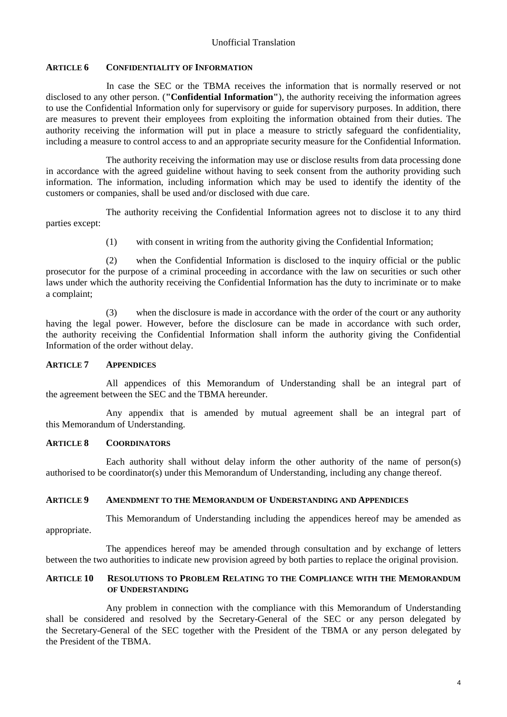## **ARTICLE 6 CONFIDENTIALITY OF INFORMATION**

In case the SEC or the TBMA receives the information that is normally reserved or not disclosed to any other person. (**"Confidential Information"**), the authority receiving the information agrees to use the Confidential Information only for supervisory or guide for supervisory purposes. In addition, there are measures to prevent their employees from exploiting the information obtained from their duties. The authority receiving the information will put in place a measure to strictly safeguard the confidentiality, including a measure to control access to and an appropriate security measure for the Confidential Information.

The authority receiving the information may use or disclose results from data processing done in accordance with the agreed guideline without having to seek consent from the authority providing such information. The information, including information which may be used to identify the identity of the customers or companies, shall be used and/or disclosed with due care.

The authority receiving the Confidential Information agrees not to disclose it to any third parties except:

(1) with consent in writing from the authority giving the Confidential Information;

(2) when the Confidential Information is disclosed to the inquiry official or the public prosecutor for the purpose of a criminal proceeding in accordance with the law on securities or such other laws under which the authority receiving the Confidential Information has the duty to incriminate or to make a complaint;

(3) when the disclosure is made in accordance with the order of the court or any authority having the legal power. However, before the disclosure can be made in accordance with such order, the authority receiving the Confidential Information shall inform the authority giving the Confidential Information of the order without delay.

#### **ARTICLE 7 APPENDICES**

All appendices of this Memorandum of Understanding shall be an integral part of the agreement between the SEC and the TBMA hereunder.

Any appendix that is amended by mutual agreement shall be an integral part of this Memorandum of Understanding.

# **ARTICLE 8 COORDINATORS**

Each authority shall without delay inform the other authority of the name of person(s) authorised to be coordinator(s) under this Memorandum of Understanding, including any change thereof.

#### **ARTICLE 9 AMENDMENT TO THE MEMORANDUM OF UNDERSTANDING AND APPENDICES**

This Memorandum of Understanding including the appendices hereof may be amended as appropriate.

The appendices hereof may be amended through consultation and by exchange of letters between the two authorities to indicate new provision agreed by both parties to replace the original provision.

#### **ARTICLE 10 RESOLUTIONS TO PROBLEM RELATING TO THE COMPLIANCE WITH THE MEMORANDUM OF UNDERSTANDING**

Any problem in connection with the compliance with this Memorandum of Understanding shall be considered and resolved by the Secretary-General of the SEC or any person delegated by the Secretary-General of the SEC together with the President of the TBMA or any person delegated by the President of the TBMA.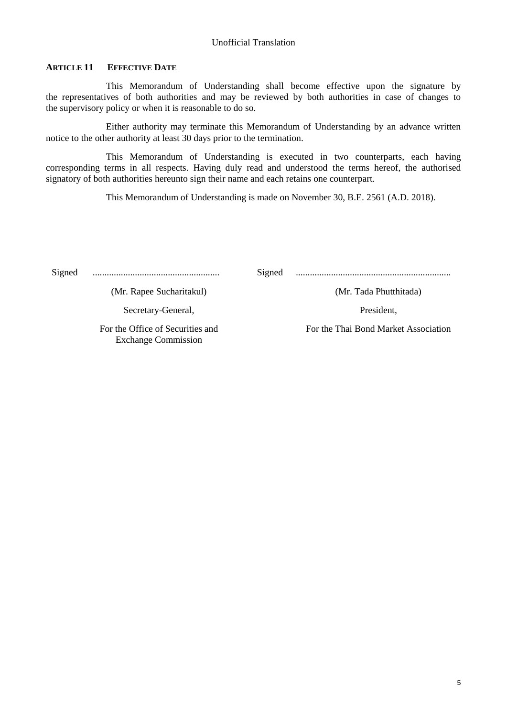# **ARTICLE 11 EFFECTIVE DATE**

This Memorandum of Understanding shall become effective upon the signature by the representatives of both authorities and may be reviewed by both authorities in case of changes to the supervisory policy or when it is reasonable to do so.

Either authority may terminate this Memorandum of Understanding by an advance written notice to the other authority at least 30 days prior to the termination.

This Memorandum of Understanding is executed in two counterparts, each having corresponding terms in all respects. Having duly read and understood the terms hereof, the authorised signatory of both authorities hereunto sign their name and each retains one counterpart.

This Memorandum of Understanding is made on November 30, B.E. 2561 (A.D. 2018).

Signed ...................................................... Signed ..................................................................

(Mr. Rapee Sucharitakul) (Mr. Tada Phutthitada)

Secretary-General, President, President,

For the Office of Securities and Exchange Commission

For the Thai Bond Market Association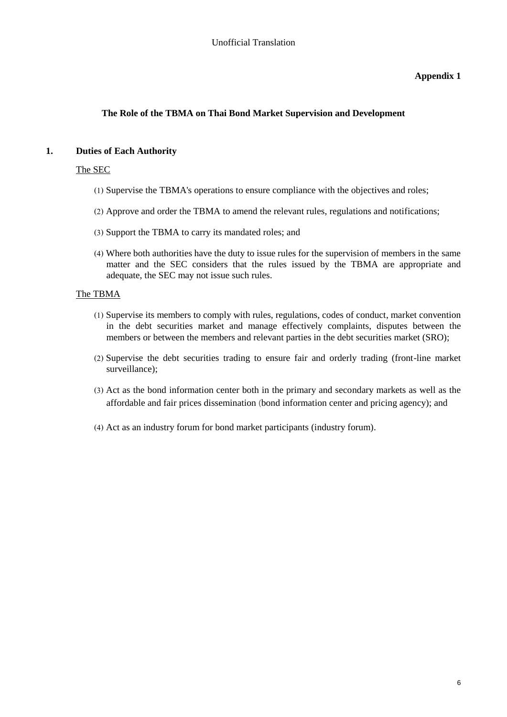# **The Role of the TBMA on Thai Bond Market Supervision and Development**

# **1. Duties of Each Authority**

# The SEC

- (1) Supervise the TBMA's operations to ensure compliance with the objectives and roles;
- (2) Approve and order the TBMA to amend the relevant rules, regulations and notifications;
- (3) Support the TBMA to carry its mandated roles; and
- (4) Where both authorities have the duty to issue rules for the supervision of members in the same matter and the SEC considers that the rules issued by the TBMA are appropriate and adequate, the SEC may not issue such rules.

## The TBMA

- (1) Supervise its members to comply with rules, regulations, codes of conduct, market convention in the debt securities market and manage effectively complaints, disputes between the members or between the members and relevant parties in the debt securities market (SRO);
- (2) Supervise the debt securities trading to ensure fair and orderly trading (front-line market surveillance);
- (3) Act as the bond information center both in the primary and secondary markets as well as the affordable and fair prices dissemination (bond information center and pricing agency); and
- (4) Act as an industry forum for bond market participants (industry forum).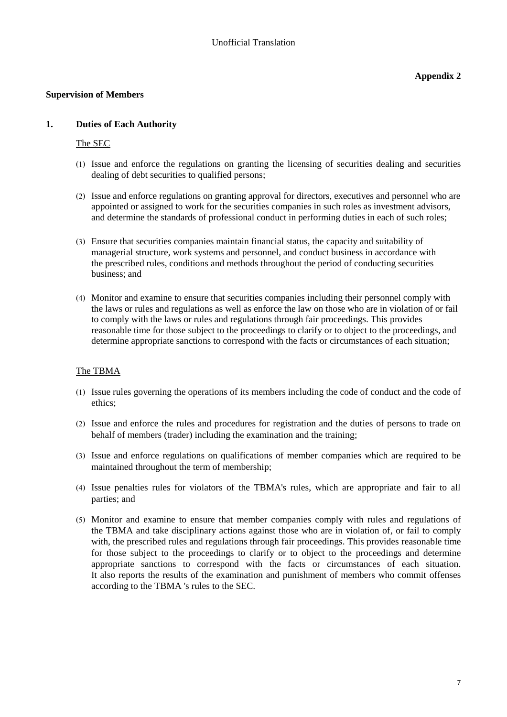#### **Supervision of Members**

## **1. Duties of Each Authority**

#### The SEC

- (1) Issue and enforce the regulations on granting the licensing of securities dealing and securities dealing of debt securities to qualified persons;
- (2) Issue and enforce regulations on granting approval for directors, executives and personnel who are appointed or assigned to work for the securities companies in such roles as investment advisors, and determine the standards of professional conduct in performing duties in each of such roles;
- (3) Ensure that securities companies maintain financial status, the capacity and suitability of managerial structure, work systems and personnel, and conduct business in accordance with the prescribed rules, conditions and methods throughout the period of conducting securities business; and
- (4) Monitor and examine to ensure that securities companies including their personnel comply with the laws or rules and regulations as well as enforce the law on those who are in violation of or fail to comply with the laws or rules and regulations through fair proceedings. This provides reasonable time for those subject to the proceedings to clarify or to object to the proceedings, and determine appropriate sanctions to correspond with the facts or circumstances of each situation;

# The TBMA

- (1) Issue rules governing the operations of its members including the code of conduct and the code of ethics;
- (2) Issue and enforce the rules and procedures for registration and the duties of persons to trade on behalf of members (trader) including the examination and the training;
- (3) Issue and enforce regulations on qualifications of member companies which are required to be maintained throughout the term of membership;
- (4) Issue penalties rules for violators of the TBMA's rules, which are appropriate and fair to all parties; and
- (5) Monitor and examine to ensure that member companies comply with rules and regulations of the TBMA and take disciplinary actions against those who are in violation of, or fail to comply with, the prescribed rules and regulations through fair proceedings. This provides reasonable time for those subject to the proceedings to clarify or to object to the proceedings and determine appropriate sanctions to correspond with the facts or circumstances of each situation. It also reports the results of the examination and punishment of members who commit offenses according to the TBMA 's rules to the SEC.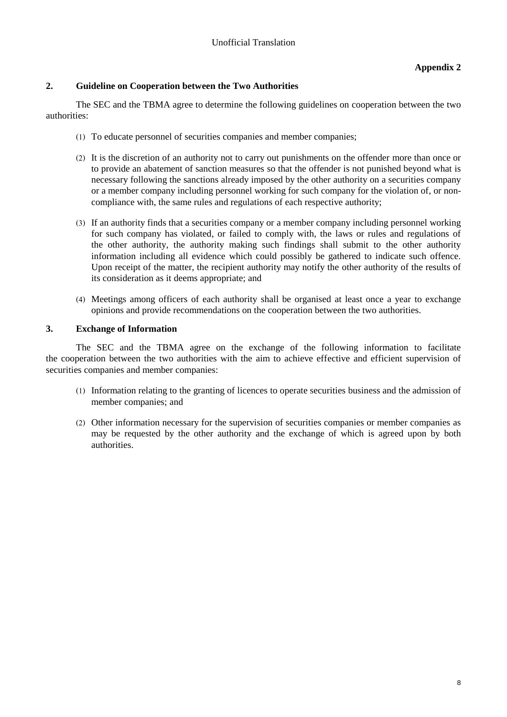# **2. Guideline on Cooperation between the Two Authorities**

The SEC and the TBMA agree to determine the following guidelines on cooperation between the two authorities:

- (1) To educate personnel of securities companies and member companies;
- (2) It is the discretion of an authority not to carry out punishments on the offender more than once or to provide an abatement of sanction measures so that the offender is not punished beyond what is necessary following the sanctions already imposed by the other authority on a securities company or a member company including personnel working for such company for the violation of, or noncompliance with, the same rules and regulations of each respective authority;
- (3) If an authority finds that a securities company or a member company including personnel working for such company has violated, or failed to comply with, the laws or rules and regulations of the other authority, the authority making such findings shall submit to the other authority information including all evidence which could possibly be gathered to indicate such offence. Upon receipt of the matter, the recipient authority may notify the other authority of the results of its consideration as it deems appropriate; and
- (4) Meetings among officers of each authority shall be organised at least once a year to exchange opinions and provide recommendations on the cooperation between the two authorities.

#### **3. Exchange of Information**

The SEC and the TBMA agree on the exchange of the following information to facilitate the cooperation between the two authorities with the aim to achieve effective and efficient supervision of securities companies and member companies:

- (1) Information relating to the granting of licences to operate securities business and the admission of member companies; and
- (2) Other information necessary for the supervision of securities companies or member companies as may be requested by the other authority and the exchange of which is agreed upon by both authorities.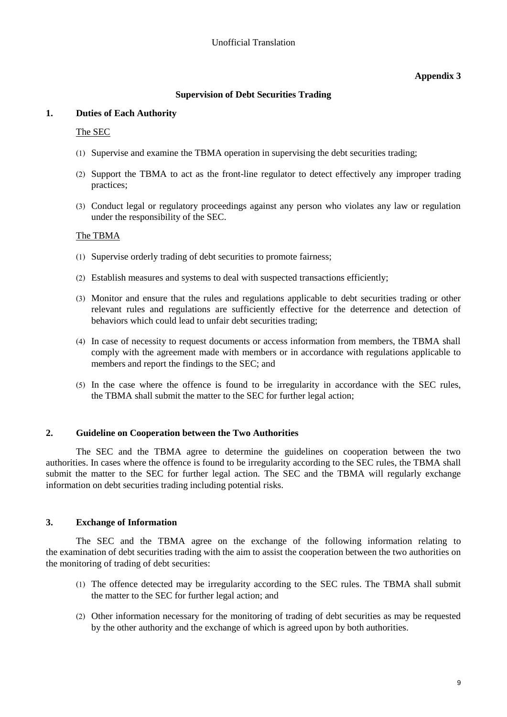## **Supervision of Debt Securities Trading**

## **1. Duties of Each Authority**

The SEC

- (1) Supervise and examine the TBMA operation in supervising the debt securities trading;
- (2) Support the TBMA to act as the front-line regulator to detect effectively any improper trading practices;
- (3) Conduct legal or regulatory proceedings against any person who violates any law or regulation under the responsibility of the SEC.

# The TBMA

- (1) Supervise orderly trading of debt securities to promote fairness;
- (2) Establish measures and systems to deal with suspected transactions efficiently;
- (3) Monitor and ensure that the rules and regulations applicable to debt securities trading or other relevant rules and regulations are sufficiently effective for the deterrence and detection of behaviors which could lead to unfair debt securities trading;
- (4) In case of necessity to request documents or access information from members, the TBMA shall comply with the agreement made with members or in accordance with regulations applicable to members and report the findings to the SEC; and
- (5) In the case where the offence is found to be irregularity in accordance with the SEC rules, the TBMA shall submit the matter to the SEC for further legal action;

#### **2. Guideline on Cooperation between the Two Authorities**

The SEC and the TBMA agree to determine the guidelines on cooperation between the two authorities. In cases where the offence is found to be irregularity according to the SEC rules, the TBMA shall submit the matter to the SEC for further legal action. The SEC and the TBMA will regularly exchange information on debt securities trading including potential risks.

# **3. Exchange of Information**

The SEC and the TBMA agree on the exchange of the following information relating to the examination of debt securities trading with the aim to assist the cooperation between the two authorities on the monitoring of trading of debt securities:

- (1) The offence detected may be irregularity according to the SEC rules. The TBMA shall submit the matter to the SEC for further legal action; and
- (2) Other information necessary for the monitoring of trading of debt securities as may be requested by the other authority and the exchange of which is agreed upon by both authorities.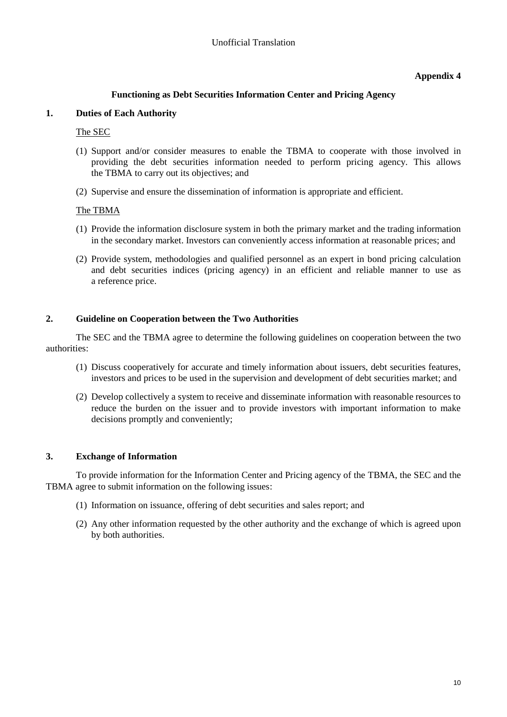## **Functioning as Debt Securities Information Center and Pricing Agency**

#### **1. Duties of Each Authority**

The SEC

- (1) Support and/or consider measures to enable the TBMA to cooperate with those involved in providing the debt securities information needed to perform pricing agency. This allows the TBMA to carry out its objectives; and
- (2) Supervise and ensure the dissemination of information is appropriate and efficient.

## The TBMA

- (1) Provide the information disclosure system in both the primary market and the trading information in the secondary market. Investors can conveniently access information at reasonable prices; and
- (2) Provide system, methodologies and qualified personnel as an expert in bond pricing calculation and debt securities indices (pricing agency) in an efficient and reliable manner to use as a reference price.

## **2. Guideline on Cooperation between the Two Authorities**

The SEC and the TBMA agree to determine the following guidelines on cooperation between the two authorities:

- (1) Discuss cooperatively for accurate and timely information about issuers, debt securities features, investors and prices to be used in the supervision and development of debt securities market; and
- (2) Develop collectively a system to receive and disseminate information with reasonable resources to reduce the burden on the issuer and to provide investors with important information to make decisions promptly and conveniently;

# **3. Exchange of Information**

To provide information for the Information Center and Pricing agency of the TBMA, the SEC and the TBMA agree to submit information on the following issues:

- (1) Information on issuance, offering of debt securities and sales report; and
- (2) Any other information requested by the other authority and the exchange of which is agreed upon by both authorities.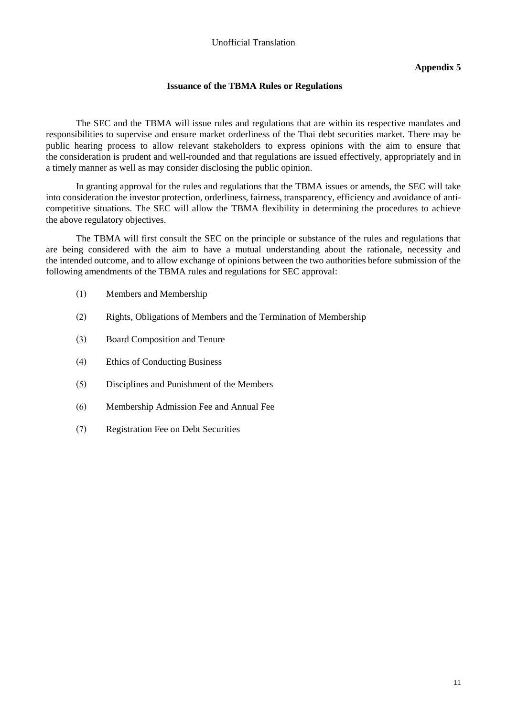## **Issuance of the TBMA Rules or Regulations**

The SEC and the TBMA will issue rules and regulations that are within its respective mandates and responsibilities to supervise and ensure market orderliness of the Thai debt securities market. There may be public hearing process to allow relevant stakeholders to express opinions with the aim to ensure that the consideration is prudent and well-rounded and that regulations are issued effectively, appropriately and in a timely manner as well as may consider disclosing the public opinion.

In granting approval for the rules and regulations that the TBMA issues or amends, the SEC will take into consideration the investor protection, orderliness, fairness, transparency, efficiency and avoidance of anticompetitive situations. The SEC will allow the TBMA flexibility in determining the procedures to achieve the above regulatory objectives.

The TBMA will first consult the SEC on the principle or substance of the rules and regulations that are being considered with the aim to have a mutual understanding about the rationale, necessity and the intended outcome, and to allow exchange of opinions between the two authorities before submission of the following amendments of the TBMA rules and regulations for SEC approval:

- (1) Members and Membership
- (2) Rights, Obligations of Members and the Termination of Membership
- (3) Board Composition and Tenure
- (4) Ethics of Conducting Business
- (5) Disciplines and Punishment of the Members
- (6) Membership Admission Fee and Annual Fee
- (7) Registration Fee on Debt Securities